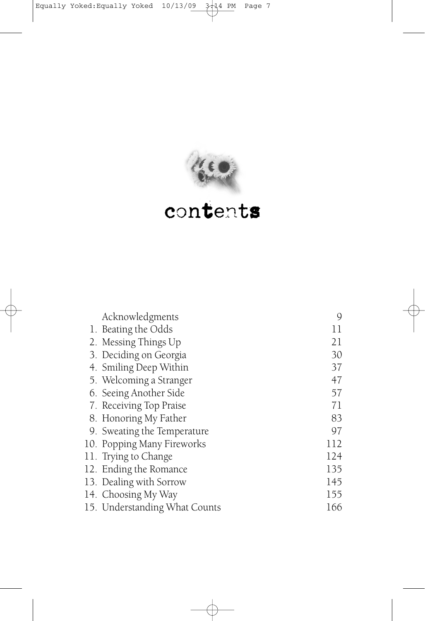

## con**t**ent**s**

| Acknowledgments               | 9   |
|-------------------------------|-----|
| 1. Beating the Odds           | 11  |
| 2. Messing Things Up          | 21  |
| 3. Deciding on Georgia        | 30  |
| 4. Smiling Deep Within        | 37  |
| 5. Welcoming a Stranger       | 47  |
| 6. Seeing Another Side        | 57  |
| 7. Receiving Top Praise       | 71  |
| 8. Honoring My Father         | 83  |
| 9. Sweating the Temperature   | 97  |
| 10. Popping Many Fireworks    | 112 |
| 11. Trying to Change          | 124 |
| 12. Ending the Romance        | 135 |
| 13. Dealing with Sorrow       | 145 |
| 14. Choosing My Way           | 155 |
| 15. Understanding What Counts | 166 |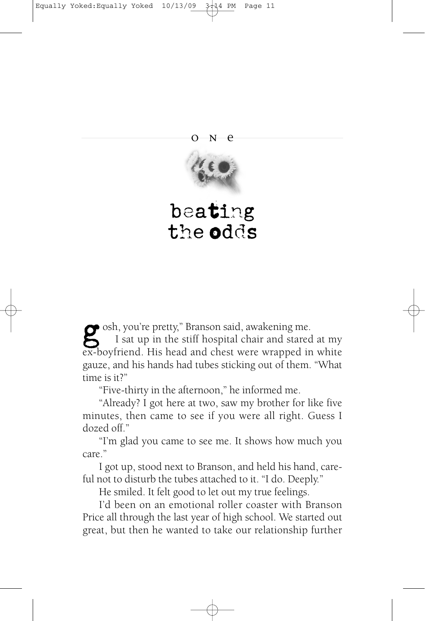$N$   $\rho$ 

## bea**t**ing the **o**dds

**g** osh, you're pretty," Branson said, awakening me.<br>
I sat up in the stiff hospital chair and stared at my ex-boyfriend. His head and chest were wrapped in white gauze, and his hands had tubes sticking out of them. "What time is it?"

"Five-thirty in the afternoon," he informed me.

"Already? I got here at two, saw my brother for like five minutes, then came to see if you were all right. Guess I dozed off."

"I'm glad you came to see me. It shows how much you care."

I got up, stood next to Branson, and held his hand, careful not to disturb the tubes attached to it. "I do. Deeply."

He smiled. It felt good to let out my true feelings.

I'd been on an emotional roller coaster with Branson Price all through the last year of high school. We started out great, but then he wanted to take our relationship further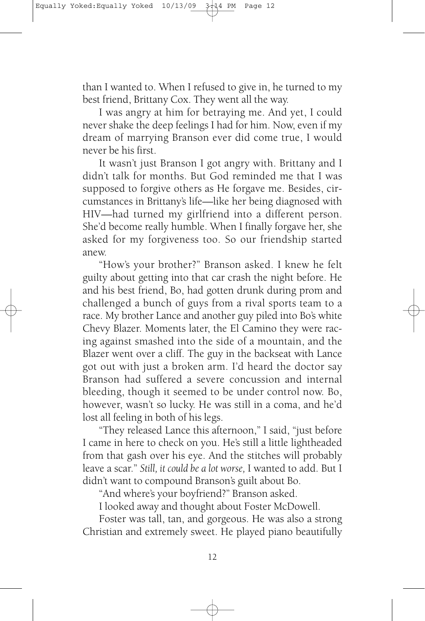than I wanted to. When I refused to give in, he turned to my best friend, Brittany Cox. They went all the way.

I was angry at him for betraying me. And yet, I could never shake the deep feelings I had for him. Now, even if my dream of marrying Branson ever did come true, I would never be his first.

It wasn't just Branson I got angry with. Brittany and I didn't talk for months. But God reminded me that I was supposed to forgive others as He forgave me. Besides, circumstances in Brittany's life—like her being diagnosed with HIV—had turned my girlfriend into a different person. She'd become really humble. When I finally forgave her, she asked for my forgiveness too. So our friendship started anew.

"How's your brother?" Branson asked. I knew he felt guilty about getting into that car crash the night before. He and his best friend, Bo, had gotten drunk during prom and challenged a bunch of guys from a rival sports team to a race. My brother Lance and another guy piled into Bo's white Chevy Blazer. Moments later, the El Camino they were racing against smashed into the side of a mountain, and the Blazer went over a cliff. The guy in the backseat with Lance got out with just a broken arm. I'd heard the doctor say Branson had suffered a severe concussion and internal bleeding, though it seemed to be under control now. Bo, however, wasn't so lucky. He was still in a coma, and he'd lost all feeling in both of his legs.

"They released Lance this afternoon," I said, "just before I came in here to check on you. He's still a little lightheaded from that gash over his eye. And the stitches will probably leave a scar." *Still, it could be a lot worse,* I wanted to add. But I didn't want to compound Branson's guilt about Bo.

"And where's your boyfriend?" Branson asked.

I looked away and thought about Foster McDowell.

Foster was tall, tan, and gorgeous. He was also a strong Christian and extremely sweet. He played piano beautifully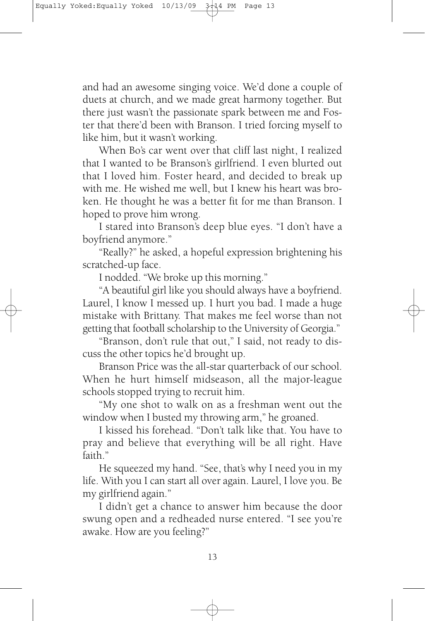and had an awesome singing voice. We'd done a couple of duets at church, and we made great harmony together. But there just wasn't the passionate spark between me and Foster that there'd been with Branson. I tried forcing myself to like him, but it wasn't working.

When Bo's car went over that cliff last night, I realized that I wanted to be Branson's girlfriend. I even blurted out that I loved him. Foster heard, and decided to break up with me. He wished me well, but I knew his heart was broken. He thought he was a better fit for me than Branson. I hoped to prove him wrong.

I stared into Branson's deep blue eyes. "I don't have a boyfriend anymore."

"Really?" he asked, a hopeful expression brightening his scratched-up face.

I nodded. "We broke up this morning."

"A beautiful girl like you should always have a boyfriend. Laurel, I know I messed up. I hurt you bad. I made a huge mistake with Brittany. That makes me feel worse than not getting that football scholarship to the University of Georgia."

"Branson, don't rule that out," I said, not ready to discuss the other topics he'd brought up.

Branson Price was the all-star quarterback of our school. When he hurt himself midseason, all the major-league schools stopped trying to recruit him.

"My one shot to walk on as a freshman went out the window when I busted my throwing arm," he groaned.

I kissed his forehead. "Don't talk like that. You have to pray and believe that everything will be all right. Have faith."

He squeezed my hand. "See, that's why I need you in my life. With you I can start all over again. Laurel, I love you. Be my girlfriend again."

I didn't get a chance to answer him because the door swung open and a redheaded nurse entered. "I see you're awake. How are you feeling?"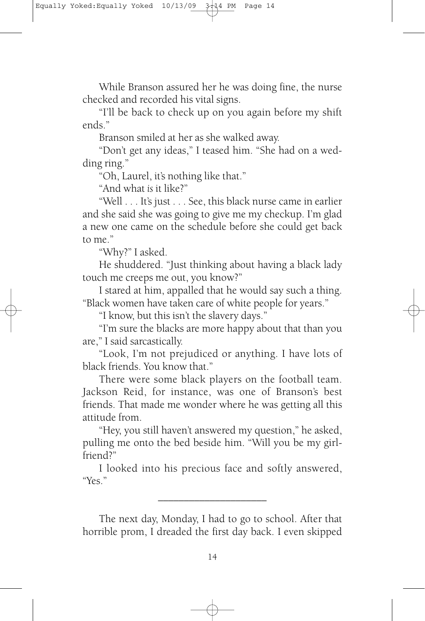While Branson assured her he was doing fine, the nurse checked and recorded his vital signs.

"I'll be back to check up on you again before my shift ends."

Branson smiled at her as she walked away.

"Don't get any ideas," I teased him. "She had on a wedding ring."

"Oh, Laurel, it's nothing like that."

"And what *is* it like?"

"Well . . . It's just . . . See, this black nurse came in earlier and she said she was going to give me my checkup. I'm glad a new one came on the schedule before she could get back to me"

"Why?" I asked.

He shuddered. "Just thinking about having a black lady touch me creeps me out, you know?"

I stared at him, appalled that he would say such a thing. "Black women have taken care of white people for years."

"I know, but this isn't the slavery days."

"I'm sure the blacks are more happy about that than you are," I said sarcastically.

"Look, I'm not prejudiced or anything. I have lots of black friends. You know that."

There were some black players on the football team. Jackson Reid, for instance, was one of Branson's best friends. That made me wonder where he was getting all this attitude from.

"Hey, you still haven't answered my question," he asked, pulling me onto the bed beside him. "Will you be my girlfriend?"

I looked into his precious face and softly answered, "Yes."

\_\_\_\_\_\_\_\_\_\_\_\_\_\_\_\_\_\_\_\_\_

The next day, Monday, I had to go to school. After that horrible prom, I dreaded the first day back. I even skipped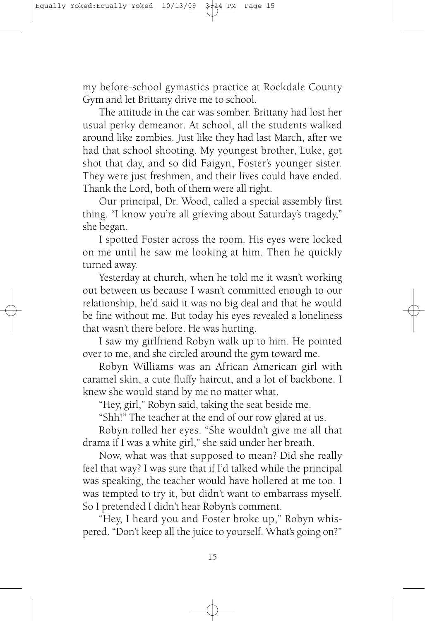my before-school gymastics practice at Rockdale County Gym and let Brittany drive me to school.

The attitude in the car was somber. Brittany had lost her usual perky demeanor. At school, all the students walked around like zombies. Just like they had last March, after we had that school shooting. My youngest brother, Luke, got shot that day, and so did Faigyn, Foster's younger sister. They were just freshmen, and their lives could have ended. Thank the Lord, both of them were all right.

Our principal, Dr. Wood, called a special assembly first thing. "I know you're all grieving about Saturday's tragedy," she began.

I spotted Foster across the room. His eyes were locked on me until he saw me looking at him. Then he quickly turned away.

Yesterday at church, when he told me it wasn't working out between us because I wasn't committed enough to our relationship, he'd said it was no big deal and that he would be fine without me. But today his eyes revealed a loneliness that wasn't there before. He was hurting.

I saw my girlfriend Robyn walk up to him. He pointed over to me, and she circled around the gym toward me.

Robyn Williams was an African American girl with caramel skin, a cute fluffy haircut, and a lot of backbone. I knew she would stand by me no matter what.

"Hey, girl," Robyn said, taking the seat beside me.

"Shh!" The teacher at the end of our row glared at us.

Robyn rolled her eyes. "She wouldn't give me all that drama if I was a white girl," she said under her breath.

Now, what was that supposed to mean? Did she really feel that way? I was sure that if I'd talked while the principal was speaking, the teacher would have hollered at me too. I was tempted to try it, but didn't want to embarrass myself. So I pretended I didn't hear Robyn's comment.

"Hey, I heard you and Foster broke up," Robyn whispered. "Don't keep all the juice to yourself. What's going on?"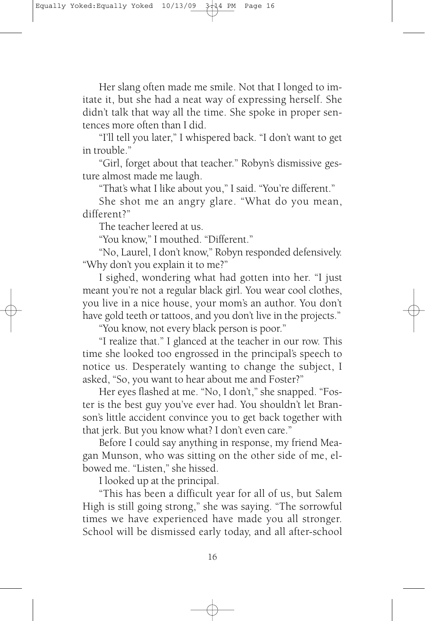Her slang often made me smile. Not that I longed to imitate it, but she had a neat way of expressing herself. She didn't talk that way all the time. She spoke in proper sentences more often than I did.

"I'll tell you later," I whispered back. "I don't want to get in trouble."

"Girl, forget about that teacher." Robyn's dismissive gesture almost made me laugh.

"That's what I like about you," I said. "You're different."

She shot me an angry glare. "What do you mean, different?"

The teacher leered at us.

"You know," I mouthed. "Different."

"No, Laurel, I don't know," Robyn responded defensively. "Why don't you explain it to me?"

I sighed, wondering what had gotten into her. "I just meant you're not a regular black girl. You wear cool clothes, you live in a nice house, your mom's an author. You don't have gold teeth or tattoos, and you don't live in the projects."

"You know, not every black person is poor."

"I realize that." I glanced at the teacher in our row. This time she looked too engrossed in the principal's speech to notice us. Desperately wanting to change the subject, I asked, "So, you want to hear about me and Foster?"

Her eyes flashed at me. "No, I don't," she snapped. "Foster is the best guy you've ever had. You shouldn't let Branson's little accident convince you to get back together with that jerk. But you know what? I don't even care."

Before I could say anything in response, my friend Meagan Munson, who was sitting on the other side of me, elbowed me. "Listen," she hissed.

I looked up at the principal.

"This has been a difficult year for all of us, but Salem High is still going strong," she was saying. "The sorrowful times we have experienced have made you all stronger. School will be dismissed early today, and all after-school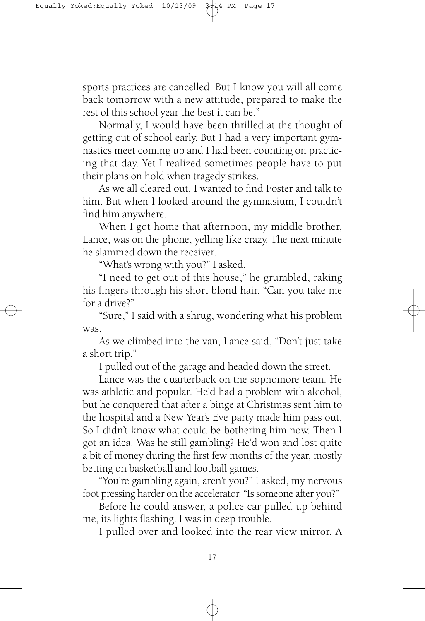sports practices are cancelled. But I know you will all come back tomorrow with a new attitude, prepared to make the rest of this school year the best it can be."

Normally, I would have been thrilled at the thought of getting out of school early. But I had a very important gymnastics meet coming up and I had been counting on practicing that day. Yet I realized sometimes people have to put their plans on hold when tragedy strikes.

As we all cleared out, I wanted to find Foster and talk to him. But when I looked around the gymnasium, I couldn't find him anywhere.

When I got home that afternoon, my middle brother, Lance, was on the phone, yelling like crazy. The next minute he slammed down the receiver.

"What's wrong with you?" I asked.

"I need to get out of this house," he grumbled, raking his fingers through his short blond hair. "Can you take me for a drive?"

"Sure," I said with a shrug, wondering what his problem was.

As we climbed into the van, Lance said, "Don't just take a short trip."

I pulled out of the garage and headed down the street.

Lance was the quarterback on the sophomore team. He was athletic and popular. He'd had a problem with alcohol, but he conquered that after a binge at Christmas sent him to the hospital and a New Year's Eve party made him pass out. So I didn't know what could be bothering him now. Then I got an idea. Was he still gambling? He'd won and lost quite a bit of money during the first few months of the year, mostly betting on basketball and football games.

"You're gambling again, aren't you?" I asked, my nervous foot pressing harder on the accelerator. "Is someone after you?"

Before he could answer, a police car pulled up behind me, its lights flashing. I was in deep trouble.

I pulled over and looked into the rear view mirror. A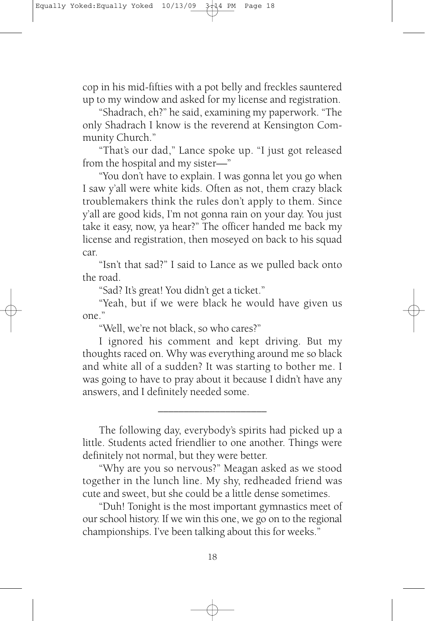cop in his mid-fifties with a pot belly and freckles sauntered up to my window and asked for my license and registration.

"Shadrach, eh?" he said, examining my paperwork. "The only Shadrach I know is the reverend at Kensington Community Church."

"That's our dad," Lance spoke up. "I just got released from the hospital and my sister—"

"You don't have to explain. I was gonna let you go when I saw y'all were white kids. Often as not, them crazy black troublemakers think the rules don't apply to them. Since y'all are good kids, I'm not gonna rain on your day. You just take it easy, now, ya hear?" The officer handed me back my license and registration, then moseyed on back to his squad car.

"Isn't that sad?" I said to Lance as we pulled back onto the road.

"Sad? It's great! You didn't get a ticket."

"Yeah, but if we were black he would have given us one."

"Well, we're not black, so who cares?"

I ignored his comment and kept driving. But my thoughts raced on. Why was everything around me so black and white all of a sudden? It was starting to bother me. I was going to have to pray about it because I didn't have any answers, and I definitely needed some.

The following day, everybody's spirits had picked up a little. Students acted friendlier to one another. Things were definitely not normal, but they were better.

\_\_\_\_\_\_\_\_\_\_\_\_\_\_\_\_\_\_\_\_\_

"Why are you so nervous?" Meagan asked as we stood together in the lunch line. My shy, redheaded friend was cute and sweet, but she could be a little dense sometimes.

"Duh! Tonight is the most important gymnastics meet of our school history. If we win this one, we go on to the regional championships. I've been talking about this for weeks."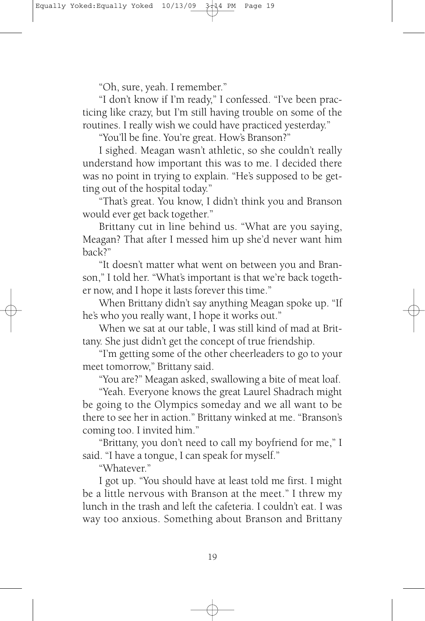"Oh, sure, yeah. I remember."

"I don't know if I'm ready," I confessed. "I've been practicing like crazy, but I'm still having trouble on some of the routines. I really wish we could have practiced yesterday."

"You'll be fine. You're great. How's Branson?"

I sighed. Meagan wasn't athletic, so she couldn't really understand how important this was to me. I decided there was no point in trying to explain. "He's supposed to be getting out of the hospital today."

"That's great. You know, I didn't think you and Branson would ever get back together."

Brittany cut in line behind us. "What are you saying, Meagan? That after I messed him up she'd never want him back?"

"It doesn't matter what went on between you and Branson," I told her. "What's important is that we're back together now, and I hope it lasts forever this time."

When Brittany didn't say anything Meagan spoke up. "If he's who you really want, I hope it works out."

When we sat at our table, I was still kind of mad at Brittany. She just didn't get the concept of true friendship.

"I'm getting some of the other cheerleaders to go to your meet tomorrow," Brittany said.

"You are?" Meagan asked, swallowing a bite of meat loaf.

"Yeah. Everyone knows the great Laurel Shadrach might be going to the Olympics someday and we all want to be there to see her in action." Brittany winked at me. "Branson's coming too. I invited him."

"Brittany, you don't need to call my boyfriend for me," I said. "I have a tongue, I can speak for myself."

"Whatever."

I got up. "You should have at least told me first. I might be a little nervous with Branson at the meet." I threw my lunch in the trash and left the cafeteria. I couldn't eat. I was way too anxious. Something about Branson and Brittany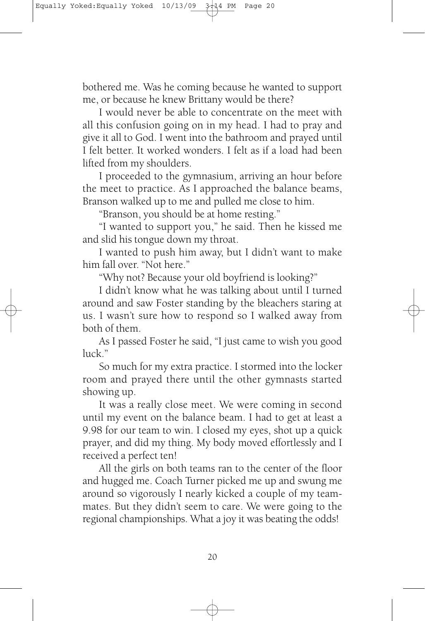bothered me. Was he coming because he wanted to support me, or because he knew Brittany would be there?

I would never be able to concentrate on the meet with all this confusion going on in my head. I had to pray and give it all to God. I went into the bathroom and prayed until I felt better. It worked wonders. I felt as if a load had been lifted from my shoulders.

I proceeded to the gymnasium, arriving an hour before the meet to practice. As I approached the balance beams, Branson walked up to me and pulled me close to him.

"Branson, you should be at home resting."

"I wanted to support you," he said. Then he kissed me and slid his tongue down my throat.

I wanted to push him away, but I didn't want to make him fall over. "Not here."

"Why not? Because your old boyfriend is looking?"

I didn't know what he was talking about until I turned around and saw Foster standing by the bleachers staring at us. I wasn't sure how to respond so I walked away from both of them.

As I passed Foster he said, "I just came to wish you good  $lnck$ "

So much for my extra practice. I stormed into the locker room and prayed there until the other gymnasts started showing up.

It was a really close meet. We were coming in second until my event on the balance beam. I had to get at least a 9.98 for our team to win. I closed my eyes, shot up a quick prayer, and did my thing. My body moved effortlessly and I received a perfect ten!

All the girls on both teams ran to the center of the floor and hugged me. Coach Turner picked me up and swung me around so vigorously I nearly kicked a couple of my teammates. But they didn't seem to care. We were going to the regional championships. What a joy it was beating the odds!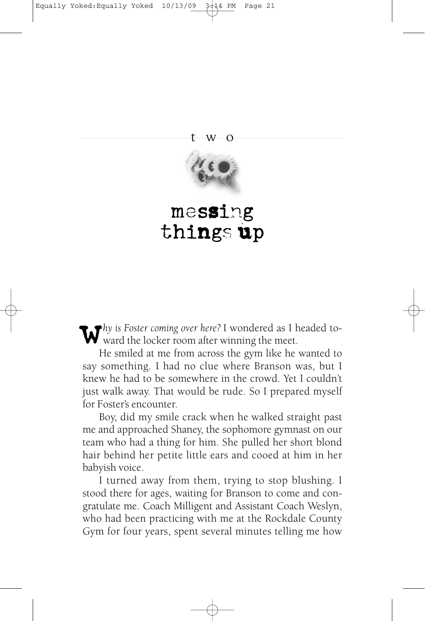mes**s**ing thi**n**gs **u**p  $W$  O

why is Foster coming over here? I wondered as I headed to- $\blacktriangledown$  ward the locker room after winning the meet.

He smiled at me from across the gym like he wanted to say something. I had no clue where Branson was, but I knew he had to be somewhere in the crowd. Yet I couldn't just walk away. That would be rude. So I prepared myself for Foster's encounter.

Boy, did my smile crack when he walked straight past me and approached Shaney, the sophomore gymnast on our team who had a thing for him. She pulled her short blond hair behind her petite little ears and cooed at him in her babyish voice.

I turned away from them, trying to stop blushing. I stood there for ages, waiting for Branson to come and congratulate me. Coach Milligent and Assistant Coach Weslyn, who had been practicing with me at the Rockdale County Gym for four years, spent several minutes telling me how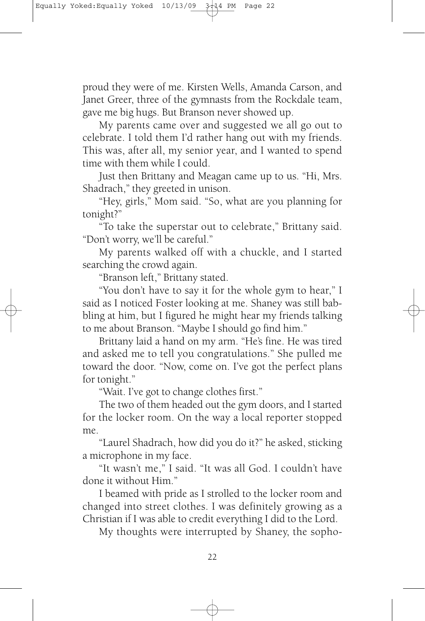proud they were of me. Kirsten Wells, Amanda Carson, and Janet Greer, three of the gymnasts from the Rockdale team, gave me big hugs. But Branson never showed up.

My parents came over and suggested we all go out to celebrate. I told them I'd rather hang out with my friends. This was, after all, my senior year, and I wanted to spend time with them while I could.

Just then Brittany and Meagan came up to us. "Hi, Mrs. Shadrach," they greeted in unison.

"Hey, girls," Mom said. "So, what are you planning for tonight?"

"To take the superstar out to celebrate," Brittany said. "Don't worry, we'll be careful."

My parents walked off with a chuckle, and I started searching the crowd again.

"Branson left," Brittany stated.

"You don't have to say it for the whole gym to hear," I said as I noticed Foster looking at me. Shaney was still babbling at him, but I figured he might hear my friends talking to me about Branson. "Maybe I should go find him."

Brittany laid a hand on my arm. "He's fine. He was tired and asked me to tell you congratulations." She pulled me toward the door. "Now, come on. I've got the perfect plans for tonight."

"Wait. I've got to change clothes first."

The two of them headed out the gym doors, and I started for the locker room. On the way a local reporter stopped me.

"Laurel Shadrach, how did you do it?" he asked, sticking a microphone in my face.

"It wasn't me," I said. "It was all God. I couldn't have done it without Him."

I beamed with pride as I strolled to the locker room and changed into street clothes. I was definitely growing as a Christian if I was able to credit everything I did to the Lord.

My thoughts were interrupted by Shaney, the sopho-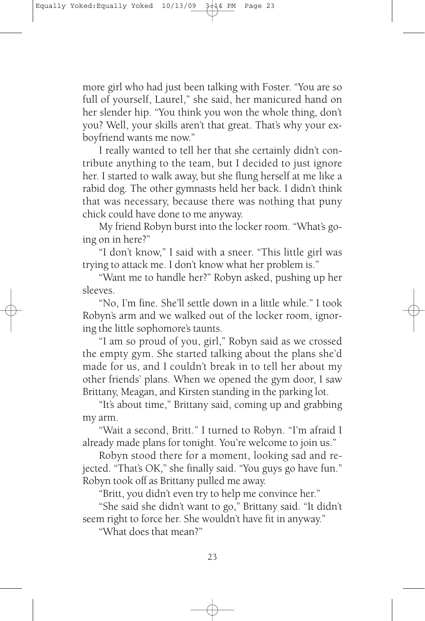more girl who had just been talking with Foster. "You are so full of yourself, Laurel," she said, her manicured hand on her slender hip. "You think you won the whole thing, don't you? Well, your skills aren't that great. That's why your exboyfriend wants me now."

I really wanted to tell her that she certainly didn't contribute anything to the team, but I decided to just ignore her. I started to walk away, but she flung herself at me like a rabid dog. The other gymnasts held her back. I didn't think that was necessary, because there was nothing that puny chick could have done to me anyway.

My friend Robyn burst into the locker room. "What's going on in here?"

"I don't know," I said with a sneer. "This little girl was trying to attack me. I don't know what her problem is."

"Want me to handle her?" Robyn asked, pushing up her sleeves.

"No, I'm fine. She'll settle down in a little while." I took Robyn's arm and we walked out of the locker room, ignoring the little sophomore's taunts.

"I am so proud of you, girl," Robyn said as we crossed the empty gym. She started talking about the plans she'd made for us, and I couldn't break in to tell her about my other friends' plans. When we opened the gym door, I saw Brittany, Meagan, and Kirsten standing in the parking lot.

"It's about time," Brittany said, coming up and grabbing my arm.

"Wait a second, Britt." I turned to Robyn. "I'm afraid I already made plans for tonight. You're welcome to join us."

Robyn stood there for a moment, looking sad and rejected. "That's OK," she finally said. "You guys go have fun." Robyn took off as Brittany pulled me away.

"Britt, you didn't even try to help me convince her."

"She said she didn't want to go," Brittany said. "It didn't seem right to force her. She wouldn't have fit in anyway."

"What does that mean?"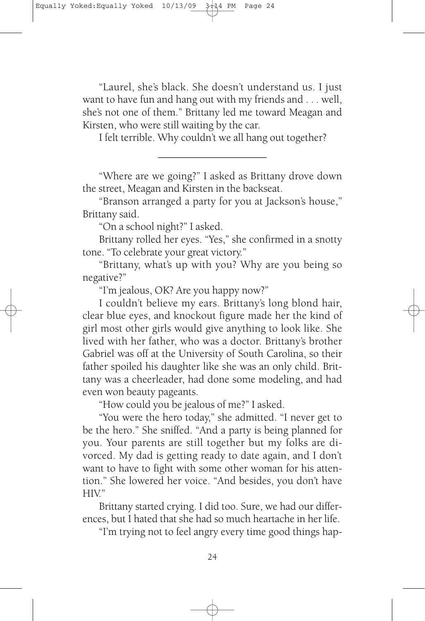"Laurel, she's black. She doesn't understand us. I just want to have fun and hang out with my friends and . . . well, she's not one of them." Brittany led me toward Meagan and Kirsten, who were still waiting by the car.

I felt terrible. Why couldn't we all hang out together? \_\_\_\_\_\_\_\_\_\_\_\_\_\_\_\_\_\_\_\_\_

"Where are we going?" I asked as Brittany drove down the street, Meagan and Kirsten in the backseat.

"Branson arranged a party for you at Jackson's house," Brittany said.

"On a school night?" I asked.

Brittany rolled her eyes. "Yes," she confirmed in a snotty tone. "To celebrate your great victory."

"Brittany, what's up with you? Why are you being so negative?"

"I'm jealous, OK? Are you happy now?"

I couldn't believe my ears. Brittany's long blond hair, clear blue eyes, and knockout figure made her the kind of girl most other girls would give anything to look like. She lived with her father, who was a doctor. Brittany's brother Gabriel was off at the University of South Carolina, so their father spoiled his daughter like she was an only child. Brittany was a cheerleader, had done some modeling, and had even won beauty pageants.

"How could you be jealous of me?" I asked.

"You were the hero today," she admitted. "I never get to be the hero." She sniffed. "And a party is being planned for you. Your parents are still together but my folks are divorced. My dad is getting ready to date again, and I don't want to have to fight with some other woman for his attention." She lowered her voice. "And besides, you don't have HIV"

Brittany started crying. I did too. Sure, we had our differences, but I hated that she had so much heartache in her life.

"I'm trying not to feel angry every time good things hap-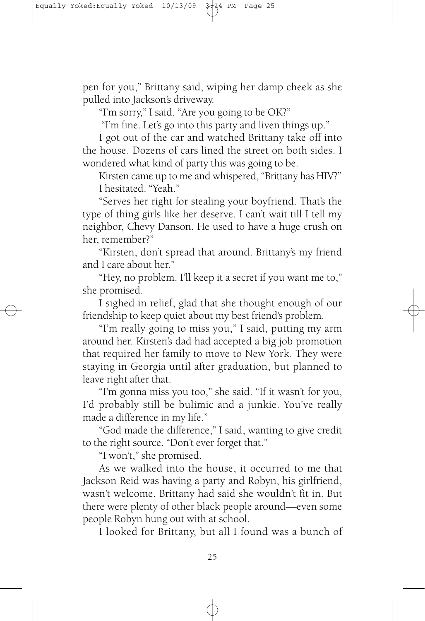pen for you," Brittany said, wiping her damp cheek as she pulled into Jackson's driveway.

"I'm sorry," I said. "Are you going to be OK?"

"I'm fine. Let's go into this party and liven things up."

I got out of the car and watched Brittany take off into the house. Dozens of cars lined the street on both sides. I wondered what kind of party this was going to be.

Kirsten came up to me and whispered, "Brittany has HIV?" I hesitated. "Yeah."

"Serves her right for stealing your boyfriend. That's the type of thing girls like her deserve. I can't wait till I tell my neighbor, Chevy Danson. He used to have a huge crush on her, remember?"

"Kirsten, don't spread that around. Brittany's my friend and I care about her."

"Hey, no problem. I'll keep it a secret if you want me to," she promised.

I sighed in relief, glad that she thought enough of our friendship to keep quiet about my best friend's problem.

"I'm really going to miss you," I said, putting my arm around her. Kirsten's dad had accepted a big job promotion that required her family to move to New York. They were staying in Georgia until after graduation, but planned to leave right after that.

"I'm gonna miss you too," she said. "If it wasn't for you, I'd probably still be bulimic and a junkie. You've really made a difference in my life."

"God made the difference," I said, wanting to give credit to the right source. "Don't ever forget that."

"I won't," she promised.

As we walked into the house, it occurred to me that Jackson Reid was having a party and Robyn, his girlfriend, wasn't welcome. Brittany had said she wouldn't fit in. But there were plenty of other black people around—even some people Robyn hung out with at school.

I looked for Brittany, but all I found was a bunch of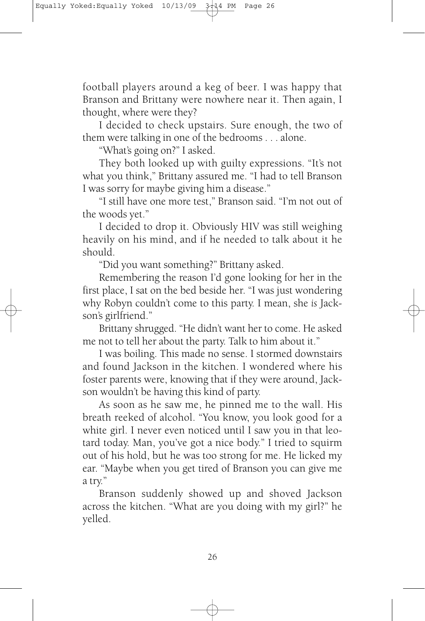football players around a keg of beer. I was happy that Branson and Brittany were nowhere near it. Then again, I thought, where were they?

I decided to check upstairs. Sure enough, the two of them were talking in one of the bedrooms . . . alone.

"What's going on?" I asked.

They both looked up with guilty expressions. "It's not what you think," Brittany assured me. "I had to tell Branson I was sorry for maybe giving him a disease."

"I still have one more test," Branson said. "I'm not out of the woods yet."

I decided to drop it. Obviously HIV was still weighing heavily on his mind, and if he needed to talk about it he should.

"Did you want something?" Brittany asked.

Remembering the reason I'd gone looking for her in the first place, I sat on the bed beside her. "I was just wondering why Robyn couldn't come to this party. I mean, she *is* Jackson's girlfriend."

Brittany shrugged. "He didn't want her to come. He asked me not to tell her about the party. Talk to him about it."

I was boiling. This made no sense. I stormed downstairs and found Jackson in the kitchen. I wondered where his foster parents were, knowing that if they were around, Jackson wouldn't be having this kind of party.

As soon as he saw me, he pinned me to the wall. His breath reeked of alcohol. "You know, you look good for a white girl. I never even noticed until I saw you in that leotard today. Man, you've got a nice body." I tried to squirm out of his hold, but he was too strong for me. He licked my ear. "Maybe when you get tired of Branson you can give me a try."

Branson suddenly showed up and shoved Jackson across the kitchen. "What are you doing with my girl?" he yelled.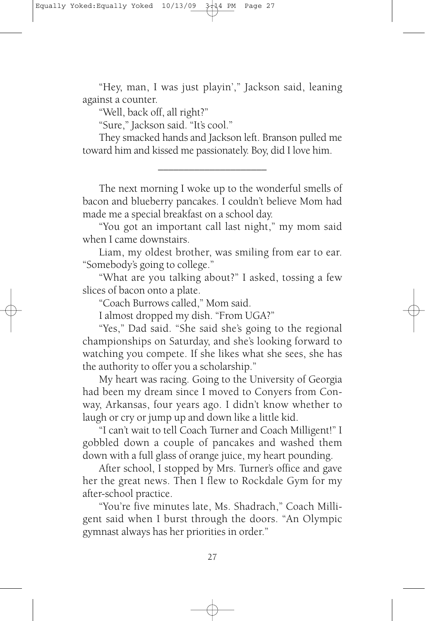"Hey, man, I was just playin'," Jackson said, leaning against a counter.

"Well, back off, all right?"

"Sure," Jackson said. "It's cool."

They smacked hands and Jackson left. Branson pulled me toward him and kissed me passionately. Boy, did I love him.

\_\_\_\_\_\_\_\_\_\_\_\_\_\_\_\_\_\_\_\_\_

The next morning I woke up to the wonderful smells of bacon and blueberry pancakes. I couldn't believe Mom had made me a special breakfast on a school day.

"You got an important call last night," my mom said when I came downstairs.

Liam, my oldest brother, was smiling from ear to ear. "Somebody's going to college."

"What are you talking about?" I asked, tossing a few slices of bacon onto a plate.

"Coach Burrows called," Mom said.

I almost dropped my dish. "From UGA?"

"Yes," Dad said. "She said she's going to the regional championships on Saturday, and she's looking forward to watching you compete. If she likes what she sees, she has the authority to offer you a scholarship."

My heart was racing. Going to the University of Georgia had been my dream since I moved to Conyers from Conway, Arkansas, four years ago. I didn't know whether to laugh or cry or jump up and down like a little kid.

"I can't wait to tell Coach Turner and Coach Milligent!" I gobbled down a couple of pancakes and washed them down with a full glass of orange juice, my heart pounding.

After school, I stopped by Mrs. Turner's office and gave her the great news. Then I flew to Rockdale Gym for my after-school practice.

"You're five minutes late, Ms. Shadrach," Coach Milligent said when I burst through the doors. "An Olympic gymnast always has her priorities in order."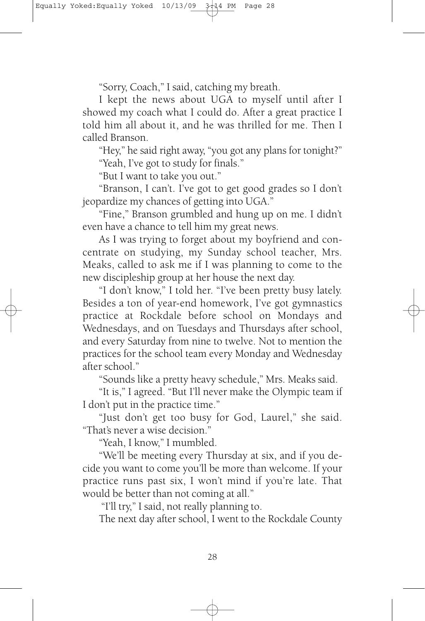"Sorry, Coach," I said, catching my breath.

I kept the news about UGA to myself until after I showed my coach what I could do. After a great practice I told him all about it, and he was thrilled for me. Then I called Branson.

"Hey," he said right away, "you got any plans for tonight?" "Yeah, I've got to study for finals."

"But I want to take you out."

"Branson, I can't. I've got to get good grades so I don't jeopardize my chances of getting into UGA."

"Fine," Branson grumbled and hung up on me. I didn't even have a chance to tell him my great news.

As I was trying to forget about my boyfriend and concentrate on studying, my Sunday school teacher, Mrs. Meaks, called to ask me if I was planning to come to the new discipleship group at her house the next day.

"I don't know," I told her. "I've been pretty busy lately. Besides a ton of year-end homework, I've got gymnastics practice at Rockdale before school on Mondays and Wednesdays, and on Tuesdays and Thursdays after school, and every Saturday from nine to twelve. Not to mention the practices for the school team every Monday and Wednesday after school."

"Sounds like a pretty heavy schedule," Mrs. Meaks said.

"It is," I agreed. "But I'll never make the Olympic team if I don't put in the practice time."

"Just don't get too busy for God, Laurel," she said. "That's never a wise decision."

"Yeah, I know," I mumbled.

"We'll be meeting every Thursday at six, and if you decide you want to come you'll be more than welcome. If your practice runs past six, I won't mind if you're late. That would be better than not coming at all."

"I'll try," I said, not really planning to.

The next day after school, I went to the Rockdale County